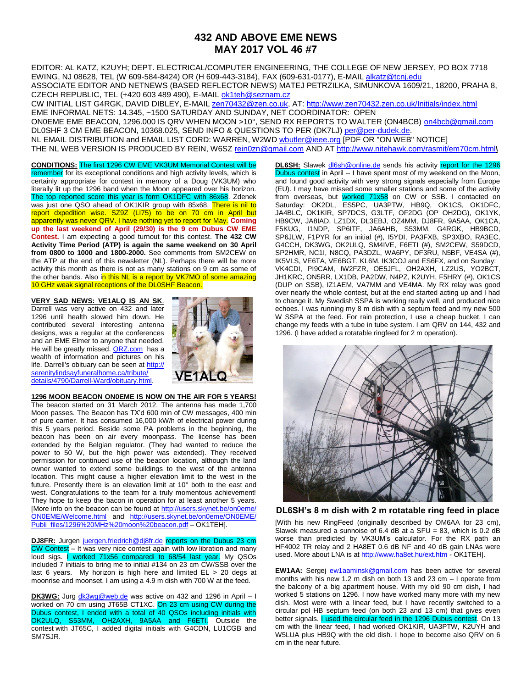## **432 AND ABOVE EME NEWS MAY 2017 VOL 46 #7**

EDITOR: AL KATZ, K2UYH; DEPT. ELECTRICAL/COMPUTER ENGINEERING, THE COLLEGE OF NEW JERSEY, PO BOX 7718 EWING, NJ 08628, TEL (W 609-584-8424) OR (H 609-443-3184), FAX (609-631-0177), E-MAIL [alkatz@tcnj.edu](mailto:alkatz@tcnj.edu) ASSOCIATE EDITOR AND NETNEWS (BASED REFLECTOR NEWS) MATEJ PETRZILKA, SIMUNKOVA 1609/21, 18200, PRAHA 8, CZECH REPUBLIC, TEL (+420 603 489 490), E-MAIL [ok1teh@seznam.cz](mailto:ok1teh@seznam.cz)

CW INITIAL LIST G4RGK, DAVID DIBLEY, E-MAIL [zen70432@zen.co.uk,](mailto:zen70432@zen.co.uk) AT[: http://www.zen70432.zen.co.uk/Initials/index.html](http://www.zen70432.zen.co.uk/Initials/index.html) EME INFORMAL NETS: 14.345, ~1500 SATURDAY AND SUNDAY, NET COORDINATOR: OPEN ON0EME EME BEACON, 1296.000 IS QRV WHEN MOON >10°, SEND RX REPORTS TO WALTER (ON4BCB) [on4bcb@gmail.com](mailto:on4bcb@gmail.com)  DL0SHF 3 CM EME BEACON, 10368.025, SEND INFO & QUESTIONS TO PER (DK7LJ[\) per@per-dudek.de.](mailto:per@per-dudek.de) NL EMAIL DISTRIBUTION and EMAIL LIST CORD: WARREN, W2W[D wbutler@ieee.org](mailto:wbutler@ieee.org) [PDF OR "ON WEB" NOTICE] THE NL WEB VERSION IS PRODUCED BY REIN, W6SZ [rein0zn@gmail.com](mailto:rein0zn@gmail.com) AND A[T http://www.nitehawk.com/rasmit/em70cm.html](http://www.nitehawk.com/rasmit/em70cm.html)**\**

**CONDITIONS:** The first 1296 CW EME VK3UM Memorial Contest will be remember for its exceptional conditions and high activity levels, which is certainly appropriate for contest in memory of a Doug (VK3UM) who literally lit up the 1296 band when the Moon appeared over his horizon. The top reported score this year is form OK1DFC with 86x68. Zdenek was just one QSO ahead of OK1KIR group with 85x68. There is nil to report dxpedition wise. SZ9Z (LI75) to be on 70 cm in April but apparently was never QRV. I have nothing yet to report for May. **Coming up the last weekend of April (29/30) is the 9 cm Dubus CW EME Contest.** I am expecting a good turnout for this contest. **The 432 CW Activity Time Period (ATP) is again the same weekend on 30 April from 0800 to 1000 and 1800-2000.** See comments from SM2CEW on the ATP at the end of this newsletter (NL). Perhaps there will be more activity this month as there is not as many stations on 9 cm as some of the other bands. Also in this NL is a report by VK7MO of some amazing 10 GHz weak signal receptions of the DL0SHF Beacon.

**VERY SAD NEWS: VE1ALQ IS AN SK**. Darrell was very active on 432 and later 1296 until health slowed him down. He contributed several interesting antenna designs, was a regular at the conferences and an EME Elmer to anyone that needed. He will be greatly missed. [QRZ.com](http://www.qrz.com/) has a wealth of information and pictures on his life. Darrell's obituary can be seen at http:// serenitylindsayfuneralhome.ca/tribute/ details/4790/Darrell-Ward/obituary.html.



**1296 MOON BEACON ON0EME IS NOW ON THE AIR FOR 5 YEARS!**

The beacon started on 31 March 2012. The antenna has made 1,700 Moon passes. The Beacon has TX'd 600 min of CW messages, 400 min of pure carrier. It has consumed 16,000 kW/h of electrical power during this 5 years period. Beside some PA problems in the beginning, the beacon has been on air every moonpass. The license has been extended by the Belgian regulator. (They had wanted to reduce the power to 50 W, but the high power was extended). They received permission for continued use of the beacon location, although the land owner wanted to extend some buildings to the west of the antenna location. This might cause a higher elevation limit to the west in the future. Presently there is an elevation limit at 10° both to the east and west. Congratulations to the team for a truly momentous achievement! They hope to keep the bacon in operation for at least another 5 years. [More info on the beacon can be found at http://users.skynet.be/on0eme/ [ON0EME/Welcome.html](http://users.skynet.be/on0eme/%20ON0EME/Welcome.html) and [http://users.skynet.be/on0eme/ON0EME/](http://users.skynet.be/on0eme/ON0EME/%20Publi_files/1296%20MHz%20moon%20beacon.pdf)  [Publi\\_files/1296%20MHz%20moon%20beacon.pdf](http://users.skynet.be/on0eme/ON0EME/%20Publi_files/1296%20MHz%20moon%20beacon.pdf) – OK1TEH].

**DJ8FR:** Jurgen [juergen.friedrich@dj8fr.de](mailto:juergen.friedrich@dj8fr.de) reports on the Dubus 23 cm CW Contest - It was very nice contest again with low libration and many loud sigs. **I worked 71x56 comparedi to 68/54 last year.** My QSOs included 7 initials to bring me to initial #134 on 23 cm CW/SSB over the last 6 years. My horizon is high here and limited EL > 20 degs at moonrise and moonset. I am using a 4.9 m dish with 700 W at the feed.

**DK3WG:** Jurg **dk3wg@web.de** was active on 432 and 1296 in April - I worked on 70 cm using JT65B CT1XC. On 23 cm using CW during the Dubus contest, I ended with a total of 40 QSOs including initials with OK2ULQ, S53MM, OH2AXH, 9A5AA and F6ETI. Outside the contest with JT65C, I added digital initials with G4CDN, LU1CGB and SM7SJR.

**DL6SH:** Slawek [dl6sh@online.de](mailto:dl6sh@online.de) sends his activity report for the 1296 Dubus contest in April -- I have spent most of my weekend on the Moon, and found good activity with very strong signals especially from Europe (EU). I may have missed some smaller stations and some of the activity from overseas, but worked 71x58 on CW or SSB. I contacted on Saturday: OK2DL, ES5PC, UA3PTW, HB9Q, OK1CS, OK1DFC, JA4BLC, OK1KIR, SP7DCS, G3LTF, OF2DG (OP OH2DG), OK1YK, HB9CW, JA8IAD, LZ1DX, DL3EBJ, OZ4MM, DJ8FR, 9A5AA, OK1CA, F5KUG, I1NDP, SP6ITF, JA6AHB, S53MM, G4RGK, HB9BCD, SP6JLW, F1PYR for an initial (#), I5YDI, PA3FXB, SP3XBO, RA3EC, G4CCH, DK3WG, OK2ULQ, SM4IVE, F6ETI (#), SM2CEW, S59DCD, SP2HMR, NC1I, N8CQ, PA3DZL, WA6PY, DF3RU, N5BF, VE4SA (#), IK5VLS, VE6TA, VE6BGT, KL6M, IK3COJ and ES6FX, and on Sunday: VK4CDI, PI9CAM, IW2FZR, OE5JFL, OH2AXH, LZ2US, YO2BCT, JH1KRC, ON5RR, LX1DB, PA2DW, N4PZ, K2UYH, F5HRY (#), OK1CS (DUP on SSB), IZ1AEM, VA7MM and VE4MA. My RX relay was good over nearly the whole contest, but at the end started acting up and I had to change it. My Swedish SSPA is working really well, and produced nice echoes. I was running my 8 m dish with a septum feed and my new 500 W SSPA at the feed. For rain protection, I use a cheap bucket. I can change my feeds with a tube in tube system. I am QRV on 144, 432 and 1296. (I have added a rotatable ringfeed for 2 m operation).



**DL6SH's 8 m dish with 2 m rotatable ring feed in place**

[With his new RingFeed (originally described by OM6AA for 23 cm), Slawek measured a sunnoise of 6.4 dB at a  $SFU = 83$ , which is 0.2 dB worse than predicted by VK3UM's calculator. For the RX path an HF4002 TR relay and 2 HA8ET 0.6 dB NF and 40 dB gain LNAs were used. More about LNA is at<http://www.ha8et.hu/ext.htm> - OK1TEH].

**EW1AA:** Sergej [ew1aaminsk@gmail.com](mailto:ew1aaminsk@gmail.com) has been active for several months with his new 1.2 m dish on both 13 and 23 cm – I operate from the balcony of a big apartment house. With my old 90 cm dish, I had worked 5 stations on 1296. I now have worked many more with my new dish. Most were with a linear feed, but I have recently switched to a circular pol HB septum feed (on both 23 and 13 cm) that gives even better signals. I used the circular feed in the 1296 Dubus contest. On 13 cm with the linear feed, I had worked OK1KIR, UA3PTW, K2UYH and W5LUA plus HB9Q with the old dish. I hope to become also QRV on 6 cm in the near future.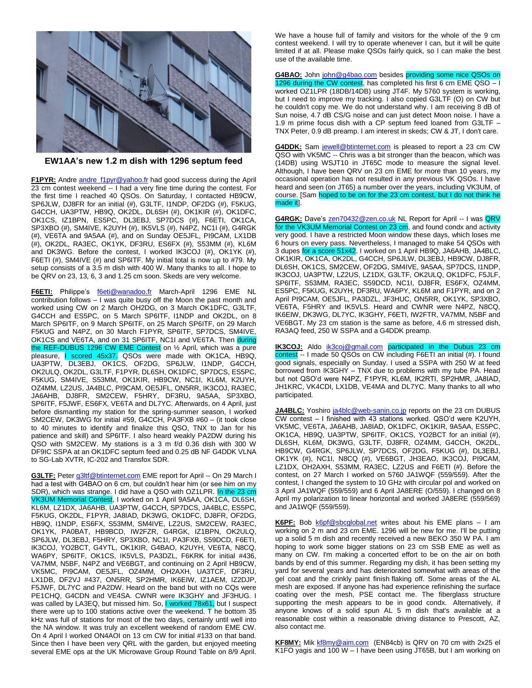

**EW1AA's new 1.2 m dish with 1296 septum feed**

F1PYR: Andre [andre\\_f1pyr@yahoo.fr](mailto:andre_f1pyr@yahoo.fr) had good success during the April 23 cm contest weekend -- I had a very fine time during the contest. For the first time I reached 40 QSOs. On Saturday, I contacted HB9CW, SP6JLW, DJ8FR for an initial (#), G3LTF, I1NDP, OF2DG (#), F5KUG, G4CCH, UA3PTW, HB9Q, OK2DL, DL6SH (#), OK1KIR (#), OK1DFC, OK1CS, IZ1BPN, ES5PC, DL3EBJ, SP7DCS (#), F6ETI, OK1CA, SP3XBO (#), SM4IVE, K2UYH (#), IK5VLS (#), N4PZ, NC1I (#), G4RGK (#), VE6TA and 9A5AA (#), and on Sunday OE5JFL, PI9CAM, LX1DB (#), OK2DL, RA3EC, OK1YK, DF3RU, ES6FX (#), S53MM (#), KL6M and DK3WG. Before the contest, I worked IK3COJ (#), OK1YK (#), F6ETI (#), SM4IVE (#) and SP6ITF. My initial total is now up to #79. My setup consists of a 3.5 m dish with 400 W. Many thanks to all. I hope to be QRV on 23, 13, 6, 3 and 1.25 cm soon. Skeds are very welcome.

F6ETI: Philippe's [f6eti@wanadoo.fr](mailto:f6eti@wanadoo.fr) March-April 1296 EME NL contribution follows – I was quite busy off the Moon the past month and worked using CW on 2 March OH2DG, on 3 March OK1DFC, G3LTF, G4CCH and ES5PC, on 5 March SP6ITF, I1NDP and OK2DL, on 8 March SP6ITF, on 9 March SP6ITF, on 25 March SP6ITF, on 29 March F5KUG and N4PZ, on 30 March F1PYR, SP6ITF, SP7DCS, SM4IVE, OK1CS and VE6TA, and on 31 SP6ITF, NC1I and VE6TA. Then during the REF-DUBUS 1296 CW EME Contest on 1/2 April, which was a pure pleasure, I scored 45x37. QSOs were made with OK1CA, HB9Q, UA3PTW, DL3EBJ, OK1CS, OF2DG, SP6JLW, I1NDP, G4CCH, OK2ULQ, OK2DL, G3LTF, F1PYR, DL6SH, OK1DFC, SP7DCS, ES5PC, F5KUG, SM4IVE, S53MM, OK1KIR, HB9CW, NC1I, KL6M, K2UYH, OZ4MM, LZ2US, JA4BLC, PI9CAM, OE5JFL, ON5RR, IK3COJ, RA3EC, JA6AHB, DJ8FR, SM2CEW, F5HRY, DF3RU, 9A5AA, SP3XBO, SP6ITF, F5JWF, ES6FX, VE6TA and DL7YC. Afterwards, on 4 April, just before dismantling my station for the spring-summer season, I worked SM2CEW, DK3WG for initial #59, G4CCH, PA3FXB #60 – (it took close to 40 minutes to identify and finalize this QSO, TNX to Jan for his patience and skill) and SP6ITF. I also heard weakly PA2DW during his QSO with SM2CEW. My stations is a 3 m f/d 0.36 dish with 300 W DF9IC SSPA at an OK1DFC septum feed and 0.25 dB NF G4DDK VLNA to SG-Lab XVTR, IC-202 and Transfox SDR.

G3LTF: Pete[r g3ltf@btinternet.com](mailto:g3ltf@btinternet.com) EME report for April -- On 29 March I had a test with G4BAO on 6 cm, but couldn't hear him (or see him on my SDR), which was strange. I did have a QSO with OZ1LPR. In the 23 cm VK3UM Memorial Contest, I worked on 1 April 9A5AA, OK1CA, DL6SH, KL6M, LZ1DX, JA6AHB, UA3PTW, G4CCH, SP7DCS, JA4BLC, ES5PC, F5KUG, OK2DL, F1PYR, JA8IAD, DK3WG, OK1DFC, DJ8FR, OF2DG, HB9Q, I1NDP, ES6FX, S53MM, SM4IVE, LZ2US, SM2CEW, RA3EC, OK1YK, PA0BAT, HB9BCD, IW2FZR, G4RGK, IZ1BPN, OK2ULQ, SP6JLW, DL3EBJ, F5HRY, SP3XBO, NC1I, PA3FXB, S59DCD, F6ETI, IK3COJ, YO2BCT, G4YTL, OK1KIR, G4BAO, K2UYH, VE6TA, N8CQ, WA6PY, SP6ITF, OK1CS, IK5VLS, PA3DZL, F6KRK for initial #436, VA7MM, N5BF, N4PZ and VE6BGT, and continuing on 2 April HB9CW, VK5MC, PI9CAM, OE5JFL, OZ4MM, OH2AXH, UA3TCF, DF3RU, LX1DB, DF2VJ #437, ON5RR, SP2HMR, IK6EIW, IZ1AEM, IZ2DJP, F5JWF, DL7YC and PA2DW. Heard on the band but with no CQs were PE1CHQ, G4CDN and VE4SA. CWNR were IK3GHY and JF3HUG. I was called by LA3EQ, but missed him. So, I worked 78x61, but I suspect there were up to 100 stations active over the weekend. T he bottom 35 kHz was full of stations for most of the two days, certainly until well into the NA window. It was truly an excellent weekend of random EME CW. On 4 April I worked ON4AOI on 13 cm CW for initial #133 on that band. Since then I have been very QRL with the garden, but enjoyed meeting several EME ops at the UK Microwave Group Round Table on 8/9 April.

We have a house full of family and visitors for the whole of the 9 cm contest weekend. I will try to operate whenever I can, but it will be quite limited if at all. Please make QSOs fairly quick, so I can make the best use of the available time.

**G4BAO:** John [john@g4bao.com](mailto:john@g4bao.com) besides providing some nice QSOs on 1296 during the CW contest, has completed his first 6 cm EME QSO – I worked OZ1LPR (18DB/14DB) using JT4F. My 5760 system is working, but I need to improve my tracking. I also copied G3LTF (O) on CW but he couldn't copy me. We do not understand why. I am receiving 8 dB of Sun noise, 4.7 dB CS/G noise and can just detect Moon noise. I have a 1.9 m prime focus dish with a CP septum feed loaned from G3LTF – TNX Peter, 0.9 dB preamp. I am interest in skeds; CW & JT, I don't care.

**G4DDK:** Sam [jewell@btinternet.com](mailto:jewell@btinternet.com) is pleased to report a 23 cm CW QSO with VK5MC -- Chris was a bit stronger than the beacon, which was (14DB) using WSJT10 in JT65C mode to measure the signal level. Although, I have been QRV on 23 cm EME for more than 10 years, my occasional operation has not resulted in any previous VK QSOs. I have heard and seen (on JT65) a number over the years, including VK3UM, of course. [Sam hoped to be on for the 23 cm contest, but I do not think he made itl.

G4RGK: Dave's [zen70432@zen.co.uk](mailto:zen70432@zen.co.uk) NL Report for April -- I was QRV for the VK3UM Memorial Contest on 23 cm, and found condx and activity very good. I have a restricted Moon window these days, which loses me 6 hours on every pass. Nevertheless, I managed to make 54 QSOs with 3 dupes for a score 51x42. I worked on 1 April HB9Q, JA6AHB, JA4BLC, OK1KIR, OK1CA, OK2DL, G4CCH, SP6JLW, DL3EBJ, HB9CW, DJ8FR, DL6SH, OK1CS, SM2CEW, OF2DG, SM4IVE, 9A5AA, SP7DCS, I1NDP, IK3COJ, UA3PTW, LZ2US, LZ1DX, G3LTF, OK2ULQ, OK1DFC, F5JLF, SP6ITF, S53MM, RA3EC, S59DCD, NC1I, DJ8FR, ES6FX, OZ4MM, ES5PC, F5KUG, K2UYH, DF3RU, WA6PY, KL6M and F1PYR, and on 2 April PI9CAM, OE5JFL, PA3DZL, JF3HUC, ON5RR, OK1YK, SP3XBO, VE6TA, F5HRY and IK5VLS. Heard and CWNR were N4PZ, N8CQ, IK6EIW, DK3WG, DL7YC, IK3GHY, F6ETI, IW2FTR, VA7MM, N5BF and VE6BGT. My 23 cm station is the same as before, 4.6 m stressed dish, RA3AQ feed, 250 W SSPA and a G4DDK preamp.

**IK3COJ:** Aldo [ik3coj@gmail.com](mailto:ik3coj@gmail.com) participated in the Dubus 23 cm contest -- I made 50 QSOs on CW including F6ETI an initial (#). I found good signals, especially on Sunday. I used a SSPA with 250 W at feed borrowed from IK3GHY – TNX due to problems with my tube PA. Head but not QSO'd were N4PZ, F1PYR, KL6M, IK2RTI, SP2HMR, JA8IAD, JH1KRC, VK4CDI, LX1DB, VE4MA and DL7YC. Many thanks to all who participated.

**JA4BLC:** Yoshiro [ja4blc@web-sanin.co.jp](mailto:ja4blc@web-sanin.co.jp) reports on the 23 cm DUBUS CW contest – I finished with 43 stations worked. QSO'd were K2UYH, VK5MC, VE6TA, JA6AHB, JA8IAD, OK1DFC, OK1KIR, 9A5AA, ES5PC, OK1CA, HB9Q, UA3PTW, SP6ITF, OK1CS, YO2BCT for an initial (#), DL6SH, KL6M, DK3WG, G3LTF, DJ8FR, OZ4MM, G4CCH, OK2DL, HB9CW, G4RGK, SP6JLW, SP7DCS, OF2DG, F5KUG (#), DL3EBJ, OK1YK (#), NC1I, N8CQ (#), VE6BGT, JH3EAO, IK3COJ, PI9CAM, LZ1DX, OH2AXH, S53MM, RA3EC, LZ2US and F6ETI (#). Before the contest, on 27 March I worked on 5760 JA1WQF (559/559). After the contest, I changed the system to 10 GHz with circular pol and worked on 3 April JA1WQF (559/559) and 6 April JA8ERE (O/559). I changed on 8 April my polarization to linear horizontal and worked JA8ERE (559/569) and JA1WQF (559/559).

**K6PF:** Bob [k6pf@sbcglobal.net](mailto:k6pf@sbcglobal.net) writes about his EME plans – I am working on 2 m and 23 cm EME. 1296 will be new for me. I'll be putting up a solid 5 m dish and recently received a new BEKO 350 W PA. I am hoping to work some bigger stations on 23 cm SSB EME as well as many on CW. I'm making a concerted effort to be on the air on both bands by end of this summer. Regarding my dish, it has been setting my yard for several years and has deteriorated somewhat with areas of the gel coat and the crinkly paint finish flaking off. Some areas of the AL mesh are exposed. If anyone has had experience refinishing the surface coating over the mesh, PSE contact me. The fiberglass structure supporting the mesh appears to be in good condx. Alternatively, if anyone knows of a solid spun AL 5 m dish that's available at a reasonable cost within a reasonable driving distance to Prescott, AZ, also contact me.

**KF8MY:** Mi[k kf8my@aim.com](mailto:kf8my@aim.com) (EN84cb) is QRV on 70 cm with 2x25 el K1FO yagis and 100 W – I have been using JT65B, but I am working on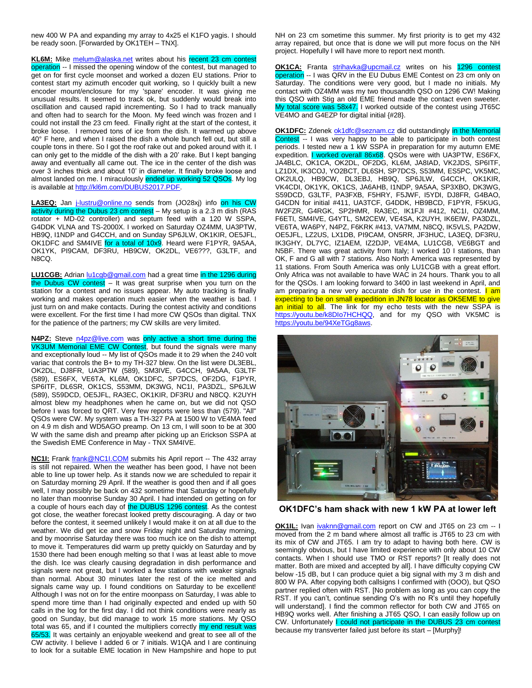new 400 W PA and expanding my array to 4x25 el K1FO yagis. I should be ready soon. [Forwarded by OK1TEH – TNX].

**KL6M:** Mike [melum@alaska.net](mailto:melum@alaska.net) writes about his recent 23 cm contest operation -- I missed the opening window of the contest, but managed to get on for first cycle moonset and worked a dozen EU stations. Prior to contest start my azimuth encoder quit working, so I quickly built a new encoder mount/enclosure for my 'spare' encoder. It was giving me unusual results. It seemed to track ok, but suddenly would break into oscillation and caused rapid incrementing. So I had to track manually and often had to search for the Moon. My feed winch was frozen and I could not install the 23 cm feed. Finally right at the start of the contest, it broke loose. I removed tons of ice from the dish. It warmed up above 40° F here, and when I raised the dish a whole bunch fell out, but still a couple tons in there. So I got the roof rake out and poked around with it. I can only get to the middle of the dish with a 20' rake. But I kept banging away and eventually all came out. The ice in the center of the dish was over 3 inches thick and about 10' in diameter. It finally broke loose and almost landed on me. I miraculously ended up working 52 QSOs. My log is available a[t http://kl6m.com/DUBUS2017.PDF.](http://kl6m.com/DUBUS2017.PDF)

LA3EQ: Jan *j*-lustru@online.no sends from (JO28xj) info on his CW activity during the Dubus 23 cm contest - My setup is a 2.3 m dish (RAS rotator + MD-02 controller) and septum feed with a 120 W SSPA, G4DDK VLNA and TS-2000X. I worked on Saturday OZ4MM, UA3PTW, HB9Q, I1NDP and G4CCH, and on Sunday SP6JLW, OK1KIR, OE5JFL, OK1DFC and SM4IVE for a total of 10x9. Heard were F1PYR, 9A5AA, OK1YK, PI9CAM, DF3RU, HB9CW, OK2DL, VE6???, G3LTF, and N8CQ.

**LU1CGB:** Adria[n lu1cgb@gmail.com](mailto:lu1cgb@gmail.com) had a great time in the 1296 during the Dubus CW contest – It was great surprise when you turn on the station for a contest and no issues appear. My auto tracking is finally working and makes operation much easier when the weather is bad. I just turn on and make contacts. During the contest activity and conditions were excellent. For the first time I had more CW QSOs than digital. TNX for the patience of the partners; my CW skills are very limited.

**N4PZ:** Steve **n4pz@live.com** was only active a short time during the VK3UM Memorial EME CW Contest, but found the signals were many and exceptionally loud -- My list of QSOs made it to 29 when the 240 volt variac that controls the B+ to my TH-327 blew. On the list were DL3EBL, OK2DL, DJ8FR, UA3PTW (589), SM3IVE, G4CCH, 9A5AA, G3LTF (589), ES6FX, VE6TA, KL6M, OK1DFC, SP7DCS, OF2DG, F1PYR, SP6ITF, DL6SR, OK1CS, S53MM, DK3WG, NC1I, PA3DZL, SP6JLW (589), S59DCD, OE5JFL, RA3EC, OK1KIR, DF3RU and N8CQ. K2UYH almost blew my headphones when he came on, but we did not QSO before I was forced to QRT. Very few reports were less than (579). "All" QSOs were CW. My system was a TH-327 PA at 1500 W to VE4MA feed on 4.9 m dish and WD5AGO preamp. On 13 cm, I will soon to be at 300 W with the same dish and preamp after picking up an Erickson SSPA at the Swedish EME Conference in May - TNX SM4IVE.

**NC1I:** Frank [frank@NC1I.COM](mailto:frank@NC1I.COM) submits his April report -- The 432 array is still not repaired. When the weather has been good, I have not been able to line up tower help. As it stands now we are scheduled to repair it on Saturday morning 29 April. If the weather is good then and if all goes well, I may possibly be back on 432 sometime that Saturday or hopefully no later than moonrise Sunday 30 April. I had intended on getting on for a couple of hours each day of the DUBUS 1296 contest. As the contest got close, the weather forecast looked pretty discouraging. A day or two before the contest, it seemed unlikely I would make it on at all due to the weather. We did get ice and snow Friday night and Saturday morning, and by moonrise Saturday there was too much ice on the dish to attempt to move it. Temperatures did warm up pretty quickly on Saturday and by 1530 there had been enough melting so that I was at least able to move the dish. Ice was clearly causing degradation in dish performance and signals were not great, but I worked a few stations with weaker signals than normal. About 30 minutes later the rest of the ice melted and signals came way up. I found conditions on Saturday to be excellent! Although I was not on for the entire moonpass on Saturday, I was able to spend more time than I had originally expected and ended up with 50 calls in the log for the first day. I did not think conditions were nearly as good on Sunday, but did manage to work 15 more stations. My QSO total was 65, and if I counted the multipliers correctly my end result was 65/53. It was certainly an enjoyable weekend and great to see all of the CW activity. I believe I added 6 or 7 initials. W1QA and I are continuing to look for a suitable EME location in New Hampshire and hope to put

NH on 23 cm sometime this summer. My first priority is to get my 432 array repaired, but once that is done we will put more focus on the NH project. Hopefully I will have more to report next month.

**OK1CA:** Franta [strihavka@upcmail.cz](mailto:strihavka@upcmail.cz) writes on his 1296 contest operation -- I was QRV in the EU Dubus EME Contest on 23 cm only on Saturday. The conditions were very good, but I made no initials. My contact with OZ4MM was my two thousandth QSO on 1296 CW! Making this QSO with Stig an old EME friend made the contact even sweeter. My total score was 58x47. I worked outside of the contest using JT65C VE4MO and G4EZP for digital initial {#28}.

**OK1DFC:** Zdenek [ok1dfc@seznam.cz](mailto:ok1dfc@seznam.cz) did outstandingly in the Memorial Contest -- I was very happy to be able to participate in both contest periods. I tested new a 1 kW SSPA in preparation for my autumn EME expedition. I worked overall 86x68. QSOs were with UA3PTW, ES6FX, JA4BLC, OK1CA, OK2DL, OF2DG, KL6M, JA8IAD, VK2JDS, SP6ITF, LZ1DX, IK3COJ, YO2BCT, DL6SH, SP7DCS, S53MM, ES5PC, VK5MC, OK2ULQ, HB9CW, DL3EBJ, HB9Q, SP6JLW, G4CCH, OK1KIR, VK4CDI, OK1YK, OK1CS, JA6AHB, I1NDP, 9A5AA, SP3XBO, DK3WG, S59DCD, G3LTF, PA3FXB, F5HRY, F5JWF, I5YDI, DJ8FR, G4BAO, G4CDN for initial #411, UA3TCF, G4DDK, HB9BCD, F1PYR, F5KUG, IW2FZR, G4RGK, SP2HMR, RA3EC, IK1FJI #412, NC1I, OZ4MM, F6ETI, SM4IVE, G4YTL, SM2CEW, VE4SA, K2UYH, IK6EIW, PA3DZL, VE6TA, WA6PY, N4PZ, F6KRK #413, VA7MM, N8CQ, IK5VLS, PA2DW, OE5JFL, LZ2US, LX1DB, PI9CAM, ON5RR, JF3HUC, LA3EQ, DF3RU, IK3GHY, DL7YC, IZ1AEM, IZ2DJP, VE4MA, LU1CGB, VE6BGT and N5BF. There was great activity from Italy; I worked 10 I stations, than OK, F and G all with 7 stations. Also North America was represented by 11 stations. From South America was only LU1CGB with a great effort. Only Africa was not available to have WAC in 24 hours. Thank you to all for the QSOs. I am looking forward to 3400 in last weekend in April, and am preparing a new very accurate dish for use in the contest. **I am** expecting to be on small expedition in JN78 locator as OK5EME to give an initial to all. The link for my echo tests with the new SSPA is https://youtu.be/k8Dlo7HCHQQ, and for my QSO with VK5MC is [https://youtu.be/94XeTGg8aws.](https://youtu.be/94XeTGg8aws)



**OK1DFC's ham shack with new 1 kW PA at lower left**

**OK1IL:** Ivan *ivaknn@gmail.com* report on CW and JT65 on 23 cm -- I moved from the 2 m band where almost all traffic is JT65 to 23 cm with its mix of CW and JT65. I am try to adapt to having both here. CW is seemingly obvious, but I have limited experience with only about 10 CW contacts. When I should use TMO or RST reports? [It really does not matter. Both are mixed and accepted by all]. I have difficulty copying CW below -15 dB, but I can produce quiet a big signal with my 3 m dish and 800 W PA. After copying both callsigns I confirmed with (OOO), but QSO partner replied often with RST. [No problem as long as you can copy the RST. If you can't, continue sending O's with no R's until they hopefully will understand]. I find the common reflector for both CW and JT65 on HB9Q works well. After finishing a JT65 QSO, I can easily follow up on CW. Unfortunately I could not participate in the DUBUS 23 cm contest because my transverter failed just before its start – [Murphy]!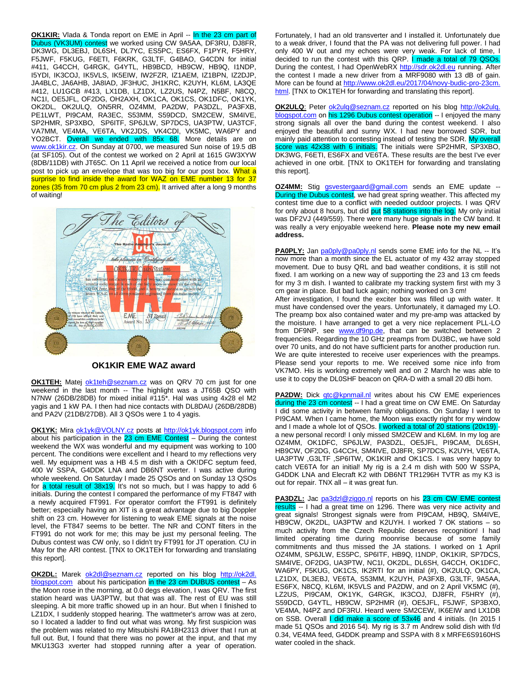**OK1KIR:** Vlada & Tonda report on EME in April -- In the 23 cm part of Dubus (VK3UM) contest we worked using CW 9A5AA, DF3RU, DJ8FR, DK3WG, DL3EBJ, DL6SH, DL7YC, ES5PC, ES6FX, F1PYR, F5HRY, F5JWF, F5KUG, F6ETI, F6KRK, G3LTF, G4BAO, G4CDN for initial #411, G4CCH, G4RGK, G4YTL, HB9BCD, HB9CW, HB9Q, I1NDP, I5YDI, IK3COJ, IK5VLS, IK5EIW, IW2FZR, IZ1AEM, IZ1BPN, IZ2DJP, JA4BLC, JA6AHB, JA8IAD, JF3HUC, JH1KRC, K2UYH, KL6M, LA3QE #412, LU1GCB #413, LX1DB, LZ1DX, LZ2US, N4PZ, N5BF, N8CQ, NC1I, OE5JFL, OF2DG, OH2AXH, OK1CA, OK1CS, OK1DFC, OK1YK, OK2DL, OK2ULQ, ON5RR, OZ4MM, PA2DW, PA3DZL, PA3FXB, PE1LWT, PI9CAM, RA3EC, S53MM, S59DCD, SM2CEW, SM4IVE, SP2HMR, SP3XBO, SP6ITF, SP6JLW, SP7DCS, UA3PTW, UA3TCF, VA7MM, VE4MA, VE6TA, VK2JDS, VK4CDI, VK5MC, WA6PY and YO2BCT. Overall we ended with 85x 68. More details are on [www.ok1kir.cz.](http://www.ok1kir.cz/) On Sunday at 0700, we measured Sun noise of 19.5 dB (at SF105). Out of the contest we worked on 2 April at 1615 GW3XYW (8DB/11DB) with JT65C. On 11 April we received a notice from our local post to pick up an envelope that was too big for our post box. What a surprise to find inside the award for WAZ on EME number 13 for 37 zones (35 from 70 cm plus 2 from 23 cm). It arrived after a long 9 months of waiting!



**OK1KIR EME WAZ award**

**OK1TEH:** Matej [ok1teh@seznam.cz](mailto:ok1teh@seznam.cz) was on QRV 70 cm just for one weekend in the last month -- The highlight was a JT65B QSO with N7NW (26DB/28DB) for mixed initial #115\*. Hal was using 4x28 el M2 yagis and 1 kW PA. I then had nice contacts with DL8DAU (26DB/28DB) and PA2V (21DB/27DB). All 3 QSOs were 1 to 4 yagis.

**OK1YK:** Mira [ok1yk@VOLNY.cz](mailto:ok1yk@VOLNY.cz) posts at [http://ok1yk.blogspot.com](http://ok1yk.blogspot.com/) info about his participation in the  $23$  cm EME Contest – During the contest weekend the WX was wonderful and my equipment was working to 100 percent. The conditions were excellent and I heard to my reflections very well. My equipment was a HB 4.5 m dish with a OK!DFC septum feed, 400 W SSPA, G4DDK LNA and DB6NT xverter. I was active during whole weekend. On Saturday I made 25 QSOs and on Sunday 13 QSOs for a total result of  $38x19$ . It's not so much, but I was happy to add 6 initials. During the contest I compared the performance of my FT847 with a newly acquired FT991. For operator comfort the FT991 is definitely better; especially having an XIT is a great advantage due to big Doppler shift on 23 cm. However for listening to weak EME signals at the noise level, the FT847 seems to be better. The NR and CONT filters in the FT991 do not work for me; this may be just my personal feeling. The Dubus contest was CW only, so I didn't try FT991 for JT operation. CU in May for the ARI contest. [TNX to OK1TEH for forwarding and translating this report].

**OK2DL:** Marek [ok2dl@seznam.cz](mailto:ok2dl@seznam.cz) reported on his blog http://ok2dl. blogspot.com about his participation in the 23 cm DUBUS contest – As the Moon rose in the morning, at 0.0 degs elevation, I was QRV. The first station heard was UA3PTW, but that was all. The rest of EU was still sleeping. A bit more traffic showed up in an hour. But when I finished to LZ1DX, I suddenly stopped hearing. The wattmeter's arrow was at zero, so I located a ladder to find out what was wrong. My first suspicion was the problem was related to my Mitsubishi RA18H2313 driver that I run at full out. But, I found that there was no power at the input, and that my MKU13G3 xverter had stopped running after a year of operation.

Fortunately, I had an old transverter and I installed it. Unfortunately due to a weak driver, I found that the PA was not delivering full power. I had only 400 W out and my echoes were very weak. For lack of time, I decided to run the contest with this QRP. I made a total of 79 QSOs. During the contest, I had OpenWebRX [http://sdr.ok2dl.eu](http://sdr.ok2dl.eu/) running. After the contest I made a new driver from a MRF9080 with 13 dB of gain. More can be found a[t http://www.ok2dl.eu/2017/04/novy-budic-pro-23cm.](http://www.ok2dl.eu/2017/04/novy-budic-pro-23cm.%20html)  [html.](http://www.ok2dl.eu/2017/04/novy-budic-pro-23cm.%20html) [TNX to OK1TEH for forwarding and translating this report].

**OK2ULQ**: Peter [ok2ulq@seznam.cz](mailto:ok2ulq(x)seznam.cz) reported on his blog http://ok2ulq. blogspot.com on his 1296 Dubus contest operation -- I enjoyed the many strong signals all over the band during the contest weekend. I also enjoyed the beautiful and sunny WX. I had new borrowed SDR, but mainly paid attention to contesting instead of testing the SDR. My overall score was 42x38 with 6 initials. The initials were SP2HMR, SP3XBO, DK3WG, F6ETI, ES6FX and VE6TA. These results are the best I've ever achieved in one orbit. [TNX to OK1TEH for forwarding and translating this report].

**OZ4MM:** Stig [gsvestergaard@gmail.com](mailto:gsvestergaard@gmail.com) sends an EME update -- During the Dubus contest, we had great spring weather. This affected my contest time due to a conflict with needed outdoor projects. I was QRV for only about 8 hours, but did put 58 stations into the log. My only initial was DF2VJ (449/559). There were many huge signals in the CW band. It was really a very enjoyable weekend here. **Please note my new email address.**

**PA0PLY:** Jan [pa0ply@pa0ply.nl](mailto:pa0ply@pa0ply.nl) sends some EME info for the NL -- It's now more than a month since the EL actuator of my 432 array stopped movement. Due to busy QRL and bad weather conditions, it is still not fixed. I am working on a new way of supporting the 23 and 13 cm feeds for my 3 m dish. I wanted to calibrate my tracking system first with my 3 cm gear in place. But bad luck again; nothing worked on 3 cm!

After investigation, I found the exciter box was filled up with water. It must have condensed over the years. Unfortunately, it damaged my LO. The preamp box also contained water and my pre-amp was attacked by the moisture. I have arranged to get a very nice replacement PLL-LO from DF9NP, see [www.df9np.de,](http://www.df9np.de/) that can be switched between 2 frequencies. Regarding the 10 GHz preamps from DU3BC, we have sold over 70 units, and do not have sufficient parts for another production run. We are quite interested to receive user experiences with the preamps. Please send your reports to me. We received some nice info from VK7MO. His is working extremely well and on 2 March he was able to use it to copy the DL0SHF beacon on QRA-D with a small 20 dBi horn.

**PA2DW:** Dick gtc@kpnmail.nl writes about his CW EME experiences during the 23 cm contest -- I had a great time on CW EME. On Saturday I did some activity in between family obligations. On Sunday I went to PI9CAM. When I came home, the Moon was exactly right for my window and I made a whole lot of QSOs. I worked a total of 20 stations (20x19) a new personal record! I only missed SM2CEW and KL6M. In my log are OZ4MM, OK1DFC, SP6JLW, PA3DZL, OE5JFL, PI9CAM, DL6SH, HB9CW, OF2DG, G4CCH, SM4IVE, DJ8FR, SP7DCS, K2UYH, VE6TA, UA3PTW ,G3LTF ,SP6ITW, OK1KIR and OK1CS. I was very happy to catch VE6TA for an initial! My rig is a 2.4 m dish with 500 W SSPA, G4DDK LNA and Elecraft K2 with DB6NT TR1296H TVTR as my K3 is out for repair. TNX all – it was great fun.

PA3DZL: Jac [pa3dzl@ziggo.nl](mailto:pa3dzl@ziggo.nl) reports on his 23 cm CW EME contest results -- I had a great time on 1296. There was very nice activity and great signals! Strongest signals were from PI9CAM, HB9Q, SM4IVE, HB9CW, OK2DL, UA3PTW and K2UYH. I worked 7 OK stations – so much activity from the Czech Republic deserves recognition! I had limited operating time during moonrise because of some family commitments and thus missed the JA stations. I worked on 1 April OZ4MM, SP6JLW, ES5PC, SP6ITF, HB9Q, I1NDP, OK1KIR, SP7DCS, SM4IVE, OF2DG, UA3PTW, NC1I, OK2DL, DL6SH, G4CCH, OK1DFC, WA6PY, F5KUG, OK1CS, IK2RTI for an initial (#), OK2ULQ, OK1CA, LZ1DX, DL3EBJ, VE6TA, S53MM, K2UYH, PA3FXB, G3LTF, 9A5AA, ES6FX, N8CQ, KL6M, IK5VLS and PA2DW, and on 2 April VK5MC (#), LZ2US, PI9CAM, OK1YK, G4RGK, IK3COJ, DJ8FR, F5HRY (#), S59DCD, G4YTL, HB9CW, SP2HMR (#), OE5JFL, F5JWF, SP3BXO, VE4MA, N4PZ and DF3RU. Heard were SM2CEW, IK6EIW and LX1DB on SSB. Overall I did make a score of 53x46 and 4 initials. (In 2015 I made 51 QSOs and 2016 54). My rig is 3.7 m Andrew solid dish with f/d 0.34, VE4MA feed, G4DDK preamp and SSPA with 8 x MRFE6S9160HS water cooled in the shack.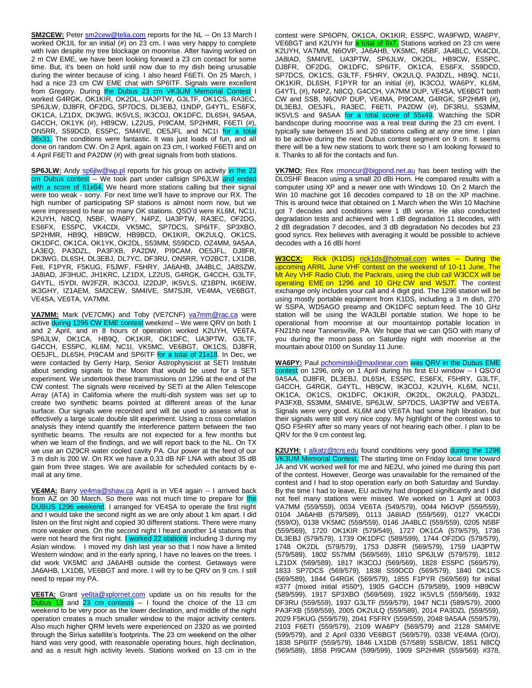**SM2CEW:** Peter  $\text{sm2cew@telia.com}$  reports for the NL -- On 13 March I worked OK1IL for an initial (#) on 23 cm. I was very happy to complete with Ivan despite my tree blockage on moonrise. After having worked on 2 m CW EME, we have been looking forward a 23 cm contact for some time. But, it's been on hold until now due to my dish being unusable during the winter because of icing. I also heard F6ETI. On 25 March, I had a nice 23 cm CW EME chat with SP6ITF. Signals were excellent from Gregory. During the Dubus 23 cm VK3UM Memorial Contest I worked G4RGK, OK1KIR, OK2DL, UA3PTW, G3LTF, OK1CS, RA3EC, SP6JLW, DJ8FR, OF2DG, SP7DCS, DL3EBJ, I1NDP, G4YTL, ES6FX, OK1CA, LZ1DX, DK3WG, IK5VLS, IK3COJ, OK1DFC, DL6SH, 9A5AA, G4CCH, OK1YK (#), HB9CW, LZ2US, PI9CAM, SP2HMR, F6ETI (#), ON5RR, S59DCD, ES5PC, SM4IVE, OE5JFL and NC1I for a total 36x31. The conditions were fantastic. It was just loads of fun, and all done on random CW. On 2 April, again on 23 cm, I worked F6ETI and on 4 April F6ETI and PA2DW (#) with great signals from both stations.

**SP6JLW:** Andy [sp6jlw@wp.pl](mailto:sp6jlw@wp.pl) reports for his group on activity in the 23 cm Dubus contest -- We took part under callsign SP6JLW and ended with a score of 81x64. We heard more stations calling but their signal were too weak - sorry. For next time we'll have to improve our RX. The high number of participating SP stations is almost norm now, but we were impressed to hear so many OK stations. QSO'd were KL6M, NC1I, K2UYH, N8CQ, N5BF, WA6PY, N4PZ, UA3PTW, RA3EC, OF2DG, ES6FX, ES5PC, VK4CDI, VK5MC, SP7DCS, SP6ITF, SP3XBO, SP2HMR, HB9Q, HB9CW, HB9BCD, OK1KIR, OK2ULQ, OK1CS, OK1DFC, OK1CA, OK1YK, OK2DL, S53MM, S59DCD, OZ4MM, 9A5AA, LA3EQ, PA3DZL, PA3FXB, PA2DW, PI9CAM, OE5JFL, DJ8FR, DK3WG, DL6SH, DL3EBJ, DL7YC, DF3RU, ON5RR, YO2BCT, LX1DB, Feti, F1PYR, F5KUG, F5JWF, F5HRY, JA6AHB, JA4BLC, JA8SZW, JA8IAD, JF3HUC, JH1KRC, LZ1DX, LZ2US, G4RGK, G4CCH, G3LTF, G4YTL, I5YDI, IW2FZR, IK3COJ, IZ2DJP, IK5VLS, IZ1BPN, IK6EIW, IK3GHY, IZ1AEM, SM2CEW, SM4IVE, SM7SJR, VE4MA, VE6BGT, VE4SA, VE6TA, VA7MM.

VA7MM: Mark (VE7CMK) and Toby (VE7CNF) [va7mm@rac.ca](mailto:va7mm@rac.ca) were active during 1296 CW EME contest weekend - We were QRV on both 1 and 2 April, and in 8 hours of operation worked K2UYH, VE6TA, SP6JLW, OK1CA, HB9Q, OK1KIR, OK1DFC, UA3PTW, G3LTF, G4CCH, ES5PC, KL6M, NC1I, VK5MC, VE6BGT, OK1CS, DJ8FR, OE5JFL, DL6SH, PI9CAM and SP6ITF for a total of 21x18. In Dec, we were contacted by Gerry Harp, Senior Astrophysicist at SETI Institute about sending signals to the Moon that would be used for a SETI experiment. We undertook these transmissions on 1296 at the end of the CW contest. The signals were received by SETI at the Allen Telescope Array (ATA) in California where the multi-dish system was set up to create two synthetic beams pointed at different areas of the lunar surface. Our signals were recorded and will be used to assess what is effectively a large scale double slit experiment. Using a cross correlation analysis they intend quantify the interference pattern between the two synthetic beams. The results are not expected for a few months but when we learn of the findings, and we will report back to the NL. On TX we use an OZ9CR water cooled cavity PA. Our power at the feed of our 3 m dish is 200 W. On RX we have a 0.33 dB NF LNA with about 35 dB gain from three stages. We are available for scheduled contacts by email at any time.

**VE4MA:** Barry [ve4ma@shaw.ca](mailto:ve4ma@shaw.ca) April is in VE4 again -- I arrived back from AZ on 30 March. So there was not much time to prepare for the DUBUS 1296 weekend. I arranged for VE4SA to operate the first night and I would take the second night as we are only about 1 km apart. I did listen on the first night and copied 30 different stations. There were many more weaker ones. On the second night I heard another 14 stations that were not heard the first night. I worked 22 stations including 3 during my Asian window. I moved my dish last year so that I now have a limited Western window; and in the early spring, I have no leaves on the trees. I did work VK5MC and JA6AHB outside the contest. Getaways were JA6AHB, LX1DB, VE6BGT and more. I will try to be QRV on 9 cm. I still need to repair my PA.

**VE6TA:** Grant [ve6ta@xplornet.com](mailto:ve6ta@xplornet.com) update us on his results for the Dubus 13 and 23 cm contests -- I found the choice of the 13 cm weekend to be very poor as the lower declination, and middle of the night operation creates a much smaller window to the major activity centers. Also much higher QRM levels were experienced on 2320 as we pointed through the Sirius satellite's footprints. The 23 cm weekend on the other hand was very good, with reasonable operating hours, high declination, and as a result high activity levels. Stations worked on 13 cm in the

contest were SP6OPN, OK1CA, OK1KIR, ES5PC, WA9FWD, WA6PY, VE6BGT and K2UYH for a total of 8x7. Stations worked on 23 cm were K2UYH, VA7MM, N6OVP, JA6AHB, VK5MC, N5BF, JA4BLC, VK4CDI, JA8IAD, SM4IVE, UA3PTW, SP6JLW, OK2DL, HB9CW, ES5PC, DJ8FR, OF2DG, OK1DFC, SP6ITF, OK1CA, ES6FX, S59DCD, SP7DCS, OK1CS, G3LTF, F5HRY, OK2ULQ, PA3DZL, HB9Q, NC1I, OK1KIR, DL6SH, F1PYR for an initial (#), IK3COJ, WA6PY, KL6M, G4YTL (#), N4PZ, N8CQ, G4CCH, VA7MM DUP, VE4SA, VE6BGT both CW and SSB, N6OVP DUP, VE4MA, PI9CAM, G4RGK, SP2HMR (#), DL3EBJ, OE5JFL, RA3EC, F6ETI, PA2DW (#), DF3RU, S53MM, IK5VLS and 9A5AA for a total score of 55x49. Watching the SDR bandscope during moonrise was a real treat during the 23 cm event. I typically saw between 15 and 20 stations calling at any one time. I plan to be active during the next Dubus contest segment on 9 cm. It seems there will be a few new stations to work there so I am looking forward to it. Thanks to all for the contacts and fun.

**VK7MO:** Rex Rex [rmoncur@bigpond.net.au](mailto:rmoncur@bigpond.net.au) has been testing with the DL0SHF Beacon using a small 20 dBi Horn. He compared results with a computer using XP and a newer one with Windows 10. On 2 March the Win 10 machine got 16 decodes compared to 18 on the XP machine. This is around twice that obtained on 1 March when the Win 10 Machine got 7 decodes and conditions were 1 dB worse. He also conducted degradation tests and achieved with 1 dB degradation 11 decodes, with 2 dB degradation 7 decodes, and 3 dB degradation No decodes but 23 good syncs. Rex believes with averaging it would be possible to achieve decodes with a 16 dBi horn!

**W3CCX:** Rick (K1DS) [rick1ds@hotmail.com](mailto:rick1ds@hotmail.com) writes -- During the upcoming ARRL June VHF contest on the weekend of 10-11 June, The Mt Airy VHF Radio Club, the Packrats, using the club call W3CCX will be operating EME on 1296 and 10 GHz CW and WSJT. The contest exchange only includes your call and 4 digit grid. The 1296 station will be using mostly portable equipment from K1DS, including a 3 m dish, 270 W SSPA, WD5AGO preamp and OK1DFC septum feed. The 10 GHz station will be using the WA3LBI portable station. We hope to be operational from moonrise at our mountaintop portable location in FN21hb near Tannersville, PA. We hope that we can QSO with many of you during the moon pass on Saturday night with moonrise at the mountain about 0100 on Sunday 11 June.

**WA6PY:** Paul [pchominski@maxlinear.com](mailto:pchominski@maxlinear.com) was QRV in the Dubus EME contest on 1296, only on 1 April during his first EU window -- I QSO'd 9A5AA, DJ8FR, DL3EBJ, DL6SH, ES5PC, ES6FX, F5HRY, G3LTF, G4CCH, G4RGK, G4YTL, HB9CW, IK3COJ, K2UYH, KL6M, NC1I, OK1CA, OK1CS, OK1DFC, OK1KIR, OK2DL, OK2ULQ, PA3DZL, PA3FXB, S53MM, SM4IVE, SP6JLW, SP7DCS, UA3PTW and VE6TA. Signals were very good. KL6M and VE6TA had some high libration, but their signals were still very nice copy. My highlight of the contest was to QSO F5HRY after so many years of not hearing each other. I plan to be QRV for the 9 cm contest leg.

**K2UYH:** I [alkatz@tcnj.edu](mailto:alkatz@tcnj.edu) found conditions very good during the 1296 VK3UM Memorial Contest. The starting time on Friday local time toward JA and VK worked well for me and NE2U, who joined me during this part of the contest. However, George was unavailable for the remained of the contest and I had to stop operation early on both Saturday and Sunday. By the time I had to leave, EU activity had dropped significantly and I did not feel many stations were missed. We worked on 1 April at 0003 VA7MM (559/559), 0034 VE6TA (549/579), 0044 N6OVP (559/559), 0104 JA6AHB (579/589), 0113 JA8IAD (559/569), 0127 VK4CDI (559/O), 0138 VK5MC (559/559), 0146 JA4BLC (559/559), 0205 N5BF (559/569), 1720 OK1KIR (579/549), 1727 OK1CA (579/579), 1736 DL3EBJ (579/579), 1739 OK1DFC (589/599), 1744 OF2DG (579/579), 1748 OK2DL (579/579), 1753 DJ8FR (569/579), 1759 UA3PTW (579/589), 1802 S57MM (569/569), 1810 SP6JLW (579/579), 1812 LZ1DX (569/589), 1817 IK3COJ (569/569), 1828 ES5PC (569/579), 1833 SP7DCS (569/579), 1838 S59DCD (569/579), 1840 OK1CS (569/589), 1844 G4RGK (569/579), 1855 F1PYR (569/569) for initial #377 (mixed initial #550\*), 1905 G4CCH (579/589), 1909 HB9CW (589/599), 1917 SP3XBO (569/569), 1922 IK5VLS (559/569), 1932 DF3RU (559/559), 1937 G3LTF (559/579), 1947 NC1I (589/579), 2000 PA3FXB (559/559), 2005 OK2ULQ (559/589), 2014 PA3DZL (559/559), 2029 F5KUG (559/579), 2041 F5FRY (559/559), 2048 9A5AA (559/579), 2103 F6ETI (559/579), 2109 WA6PY (569/579) and 2128 SM4IVE (599/579), and 2 April 0330 VE6BGT (569/579), 0338 VE4MA (O/O), 1838 SP6ITF (559/579), 1846 LX1DB (57/589) SSB/CW, 1851 N8CQ (569/589), 1858 PI9CAM (599/599), 1909 SP2HMR (559/569) #378,